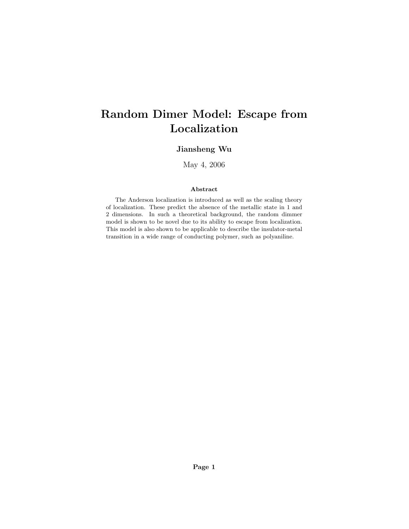# Random Dimer Model: Escape from Localization

### Jiansheng Wu

May 4, 2006

#### Abstract

The Anderson localization is introduced as well as the scaling theory of localization. These predict the absence of the metallic state in 1 and 2 dimensions. In such a theoretical background, the random dimmer model is shown to be novel due to its ability to escape from localization. This model is also shown to be applicable to describe the insulator-metal transition in a wide range of conducting polymer, such as polyaniline.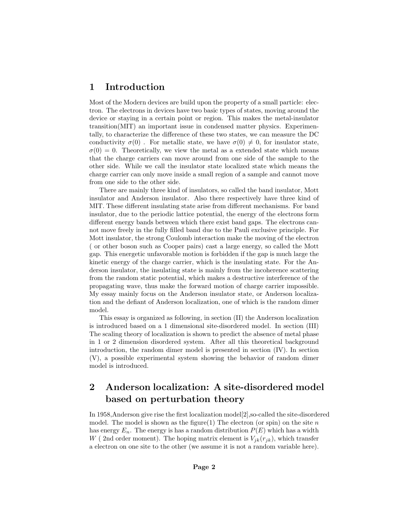### 1 Introduction

Most of the Modern devices are build upon the property of a small particle: electron. The electrons in devices have two basic types of states, moving around the device or staying in a certain point or region. This makes the metal-insulator transition(MIT) an important issue in condensed matter physics. Experimentally, to characterize the difference of these two states, we can measure the DC conductivity  $\sigma(0)$ . For metallic state, we have  $\sigma(0) \neq 0$ , for insulator state,  $\sigma(0) = 0$ . Theoretically, we view the metal as a extended state which means that the charge carriers can move around from one side of the sample to the other side. While we call the insulator state localized state which means the charge carrier can only move inside a small region of a sample and cannot move from one side to the other side.

There are mainly three kind of insulators, so called the band insulator, Mott insulator and Anderson insulator. Also there respectively have three kind of MIT. These different insulating state arise from different mechanisms. For band insulator, due to the periodic lattice potential, the energy of the electrons form different energy bands between which there exist band gaps. The electrons cannot move freely in the fully filled band due to the Pauli exclusive principle. For Mott insulator, the strong Coulomb interaction make the moving of the electron ( or other boson such as Cooper pairs) cast a large energy, so called the Mott gap. This energetic unfavorable motion is forbidden if the gap is much large the kinetic energy of the charge carrier, which is the insulating state. For the Anderson insulator, the insulating state is mainly from the incoherence scattering from the random static potential, which makes a destructive interference of the propagating wave, thus make the forward motion of charge carrier impossible. My essay mainly focus on the Anderson insulator state, or Anderson localization and the defiant of Anderson localization, one of which is the random dimer model.

This essay is organized as following, in section (II) the Anderson localization is introduced based on a 1 dimensional site-disordered model. In section (III) The scaling theory of localization is shown to predict the absence of metal phase in 1 or 2 dimension disordered system. After all this theoretical background introduction, the random dimer model is presented in section (IV). In section (V), a possible experimental system showing the behavior of random dimer model is introduced.

# 2 Anderson localization: A site-disordered model based on perturbation theory

In 1958,Anderson give rise the first localization model[2],so-called the site-disordered model. The model is shown as the figure(1) The electron (or spin) on the site  $n$ has energy  $E_n$ . The energy is has a random distribution  $P(E)$  which has a width W (2nd order moment). The hoping matrix element is  $V_{ik}(r_{ik})$ , which transfer a electron on one site to the other (we assume it is not a random variable here).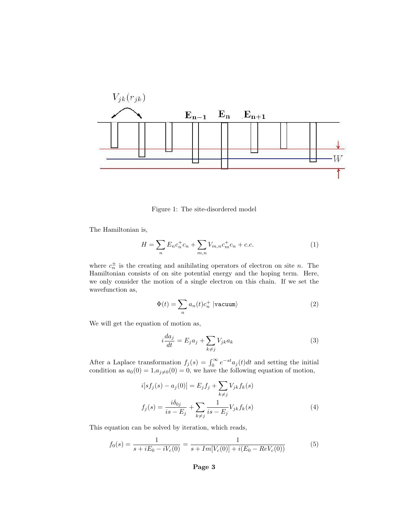

Figure 1: The site-disordered model

The Hamiltonian is,

$$
H = \sum_{n} E_n c_n^+ c_n + \sum_{m,n} V_{m,n} c_m^+ c_n + c.c.
$$
 (1)

where  $c_n^{\pm}$  is the creating and anihilating operators of electron on site n. The Hamiltonian consists of on site potential energy and the hoping term. Here, we only consider the motion of a single electron on this chain. If we set the wavefunction as,

$$
\Phi(t) = \sum_{n} a_n(t) c_n^+ \left| \text{vacuum} \right\rangle \tag{2}
$$

We will get the equation of motion as,

$$
i\frac{da_j}{dt} = E_j a_j + \sum_{k \neq j} V_{jk} a_k \tag{3}
$$

After a Laplace transformation  $f_j(s) = \int_0^\infty e^{-st} a_j(t) dt$  and setting the initial condition as  $a_0(0) = 1, a_{j\neq0}(0) = 0$ , we have the following equation of motion,

$$
i[sf_j(s) - a_j(0)] = E_j f_j + \sum_{k \neq j} V_{jk} f_k(s)
$$
  

$$
f_j(s) = \frac{i\delta_{0j}}{is - E_j} + \sum_{k \neq j} \frac{1}{is - E_j} V_{jk} f_k(s)
$$
 (4)

This equation can be solved by iteration, which reads,

$$
f_0(s) = \frac{1}{s + iE_0 - iV_c(0)} = \frac{1}{s + Im[V_c(0)] + i(E_0 - ReV_c(0))}
$$
(5)

#### Page 3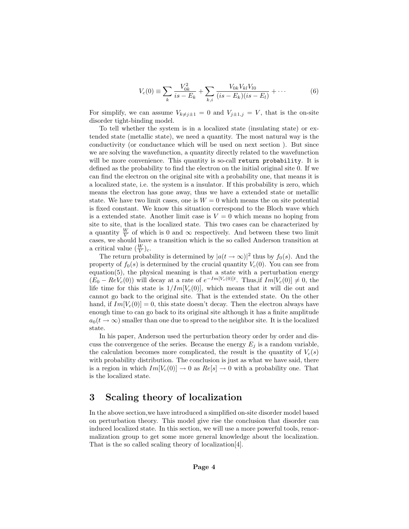$$
V_c(0) = \sum_{k} \frac{V_{0k}^2}{is - E_k} + \sum_{k,i} \frac{V_{0k} V_{kl} V_{l0}}{(is - E_k)(is - E_l)} + \cdots
$$
 (6)

For simplify, we can assume  $V_{k\neq j\pm 1} = 0$  and  $V_{j\pm 1,j} = V$ , that is the on-site disorder tight-binding model.

To tell whether the system is in a localized state (insulating state) or extended state (metallic state), we need a quantity. The most natural way is the conductivity (or conductance which will be used on next section ). But since we are solving the wavefunction, a quantity directly related to the wavefunction will be more convenience. This quantity is so-call return probability. It is defined as the probability to find the electron on the initial original site 0. If we can find the electron on the original site with a probability one, that means it is a localized state, i.e. the system is a insulator. If this probability is zero, which means the electron has gone away, thus we have a extended state or metallic state. We have two limit cases, one is  $W = 0$  which means the on site potential is fixed constant. We know this situation correspond to the Bloch wave which is a extended state. Another limit case is  $V = 0$  which means no hoping from site to site, that is the localized state. This two cases can be characterized by a quantity  $\frac{W}{V}$  of which is 0 and  $\infty$  respectively. And between these two limit cases, we should have a transition which is the so called Anderson transition at a critical value  $(\frac{W}{V})_c$ .

The return probability is determined by  $|a(t \to \infty)|^2$  thus by  $f_0(s)$ . And the property of  $f_0(s)$  is determined by the crucial quantity  $V_c(0)$ . You can see from equation(5), the physical meaning is that a state with a perturbation energy  $(E_0 - ReV_c(0))$  will decay at a rate of  $e^{-Im[V_c(0)]t}$ . Thus, if  $Im[V_c(0)] \neq 0$ , the life time for this state is  $1/Im[V_c(0)]$ , which means that it will die out and cannot go back to the original site. That is the extended state. On the other hand, if  $Im[V_c(0)] = 0$ , this state doesn't decay. Then the electron always have enough time to can go back to its original site although it has a finite amplitude  $a_0(t \to \infty)$  smaller than one due to spread to the neighbor site. It is the localized state.

In his paper, Anderson used the perturbation theory order by order and discuss the convergence of the series. Because the energy  $E_i$  is a random variable, the calculation becomes more complicated, the result is the quantity of  $V_c(s)$ with probability distribution. The conclusion is just as what we have said, there is a region in which  $Im[V_c(0)] \rightarrow 0$  as  $Re[s] \rightarrow 0$  with a probability one. That is the localized state.

#### 3 Scaling theory of localization

In the above section,we have introduced a simplified on-site disorder model based on perturbation theory. This model give rise the conclusion that disorder can induced localized state. In this section, we will use a more powerful tools, renormalization group to get some more general knowledge about the localization. That is the so called scaling theory of localization[4].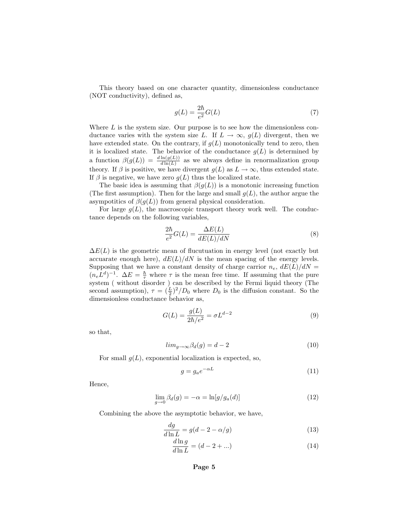This theory based on one character quantity, dimensionless conductance (NOT conductivity), defined as,

$$
g(L) = \frac{2\hbar}{e^2}G(L) \tag{7}
$$

Where  $L$  is the system size. Our purpose is to see how the dimensionless conductance varies with the system size L. If  $L \to \infty$ ,  $g(L)$  divergent, then we have extended state. On the contrary, if  $g(L)$  monotonically tend to zero, then it is localized state. The behavior of the conductance  $g(L)$  is determined by a function  $\beta(g(L)) = \frac{d \ln(g(L))}{d \ln(L)}$  as we always define in renormalization group theory. If  $\beta$  is positive, we have divergent  $g(L)$  as  $L \to \infty$ , thus extended state. If  $\beta$  is negative, we have zero  $g(L)$  thus the localized state.

The basic idea is assuming that  $\beta(g(L))$  is a monotonic increasing function (The first assumption). Then for the large and small  $g(L)$ , the author argue the asympotitics of  $\beta(g(L))$  from general physical consideration.

For large  $g(L)$ , the macroscopic transport theory work well. The conductance depends on the following variables,

$$
\frac{2\hbar}{e^2}G(L) = \frac{\Delta E(L)}{dE(L)/dN}
$$
\n(8)

 $\Delta E(L)$  is the geometric mean of flucutuation in energy level (not exactly but accuarate enough here),  $dE(L)/dN$  is the mean spacing of the energy levels. Supposing that we have a constant density of charge carrior  $n_e$ ,  $dE(L)/dN =$  $(n_e L^d)^{-1}$ .  $\Delta E = \frac{\hbar}{\tau}$  where  $\tau$  is the mean free time. If assuming that the pure system ( without disorder ) can be described by the Fermi liquid theory (The second assumption),  $\tau = (\frac{L}{2})^2/D_0$  where  $D_0$  is the diffusion constant. So the dimensionless conductance behavior as,

$$
G(L) = \frac{g(L)}{2\hbar/e^2} = \sigma L^{d-2}
$$
\n(9)

so that,

$$
lim_{g \to \infty} \beta_d(g) = d - 2 \tag{10}
$$

For small  $q(L)$ , exponential localization is expected, so,

$$
g = g_a e^{-\alpha L} \tag{11}
$$

Hence,

$$
\lim_{g \to 0} \beta_d(g) = -\alpha = \ln[g/g_a(d)] \tag{12}
$$

Combining the above the asymptotic behavior, we have,

$$
\frac{dg}{d\ln L} = g(d - 2 - \alpha/g) \tag{13}
$$

$$
\frac{d\ln g}{d\ln L} = (d - 2 + \ldots) \tag{14}
$$

Page 5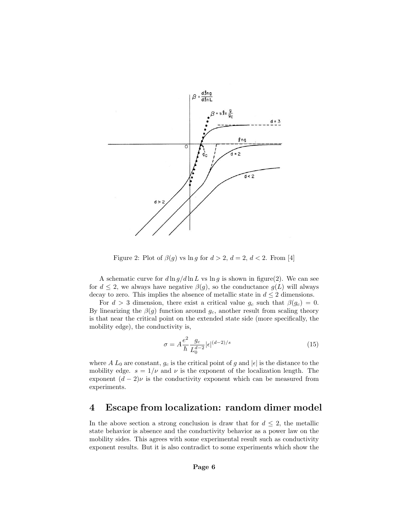

Figure 2: Plot of  $\beta(g)$  vs ln g for  $d > 2$ ,  $d = 2$ ,  $d < 2$ . From [4]

A schematic curve for  $d \ln g / d \ln L$  vs  $\ln g$  is shown in figure(2). We can see for  $d \leq 2$ , we always have negative  $\beta(g)$ , so the conductance  $g(L)$  will always decay to zero. This implies the absence of metallic state in  $d \leq 2$  dimensions.

For  $d > 3$  dimension, there exist a critical value  $g_c$  such that  $\beta(g_c) = 0$ . By linearizing the  $\beta(g)$  function around  $g_c$ , another result from scaling theory is that near the critical point on the extended state side (more specifically, the mobility edge), the conductivity is,

$$
\sigma = A \frac{e^2}{\hbar} \frac{g_c}{L_0^{d-2}} |\epsilon|^{(d-2)/s} \tag{15}
$$

where A  $L_0$  are constant,  $g_c$  is the critical point of g and  $|\epsilon|$  is the distance to the mobility edge.  $s = 1/\nu$  and  $\nu$  is the exponent of the localization length. The exponent  $(d-2)\nu$  is the conductivity exponent which can be measured from experiments.

### 4 Escape from localization: random dimer model

In the above section a strong conclusion is draw that for  $d \leq 2$ , the metallic state behavior is absence and the conductivity behavior as a power law on the mobility sides. This agrees with some experimental result such as conductivity exponent results. But it is also contradict to some experiments which show the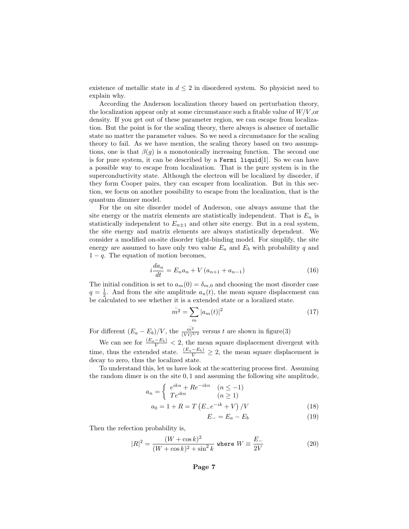existence of metallic state in  $d \leq 2$  in disordered system. So physicist need to explain why.

According the Anderson localization theory based on perturbation theory, the localization appear only at some circumstance such a fitable value of  $W/V$ , or density. If you get out of these parameter region, we can escape from localization. But the point is for the scaling theory, there always is absence of metallic state no matter the parameter values. So we need a circumstance for the scaling theory to fail. As we have mention, the scaling theory based on two assumptions, one is that  $\beta(q)$  is a monotonically increasing function. The second one is for pure system, it can be described by a Fermi liquid[1]. So we can have a possible way to escape from localization. That is the pure system is in the superconductivity state. Although the electron will be localized by disorder, if they form Cooper pairs, they can escaper from localization. But in this section, we focus on another possibility to escape from the localization, that is the quantum dimmer model.

For the on site disorder model of Anderson, one always assume that the site energy or the matrix elements are statistically independent. That is  $E_n$  is statistically independent to  $E_{n\pm 1}$  and other site energy. But in a real system, the site energy and matrix elements are always statistically dependent. We consider a modified on-site disorder tight-binding model. For simplify, the site energy are assumed to have only two value  $E_a$  and  $E_b$  with probability q and  $1 - q$ . The equation of motion becomes,

$$
i\frac{da_n}{dt} = E_n a_n + V(a_{n+1} + a_{n-1})
$$
\n(16)

The initial condition is set to  $a_m(0) = \delta_{m,0}$  and choosing the most disorder case  $q = \frac{1}{2}$ . And from the site amplitude  $a_n(t)$ , the mean square displacement can be calculated to see whether it is a extended state or a localized state.

$$
\bar{m}^2 = \sum_m |a_m(t)|^2
$$
 (17)

For different  $(E_a - E_b)/V$ , the  $\frac{\overline{m^2}}{(Vt)^{3/2}}$  versus t are shown in figure(3)

We can see for  $\frac{(E_a - E_b)}{V} < 2$ , the mean square displacement divergent with time, thus the extended state.  $\frac{(E_a - E_b)}{V} \geq 2$ , the mean square displacement is decay to zero, thus the localized state.

To understand this, let us have look at the scattering process first. Assuming the random dimer is on the site 0, 1 and assuming the following site amplitude,

$$
a_n = \begin{cases} e^{ikn} + Re^{-ikn} & (n \le -1) \\ Te^{ikn} & (n \ge 1) \end{cases}
$$
  

$$
a_0 = 1 + R = T \left( E_- e^{-ik} + V \right) / V \tag{18}
$$

$$
E_{-} = E_a - E_b \tag{19}
$$

Then the refection probability is,

$$
|R|^2 = \frac{(W + \cos k)^2}{(W + \cos k)^2 + \sin^2 k} \text{ where } W \equiv \frac{E_-}{2V}
$$
 (20)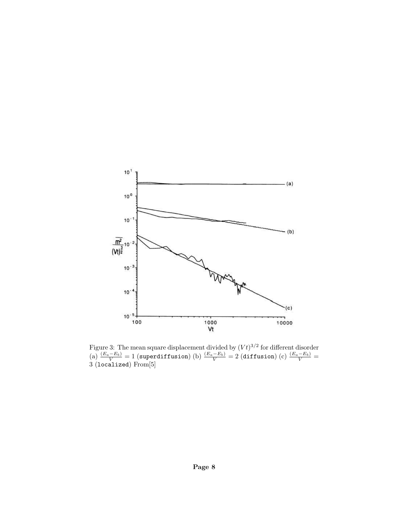

Figure 3: The mean square displacement divided by  $(Vt)^{3/2}$  for different disorder (a)  $\frac{(E_a - E_b)}{V} = 1$  (superdiffusion) (b)  $\frac{(E_a - E_b)}{V} = 2$  (diffusion) (c)  $\frac{(E_a - E_b)}{V} =$ 3 (localized) From[5]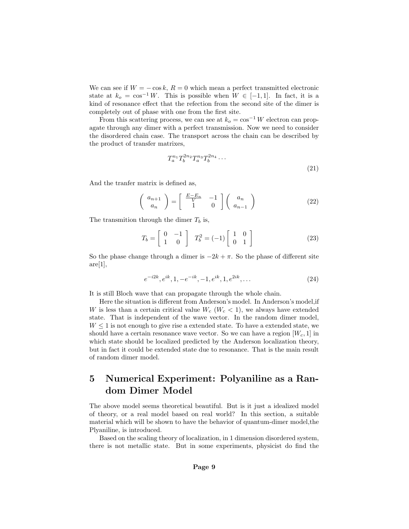We can see if  $W = -\cos k$ ,  $R = 0$  which mean a perfect transmitted electronic state at  $k_o = \cos^{-1} W$ . This is possible when  $W \in [-1,1]$ . In fact, it is a kind of resonance effect that the refection from the second site of the dimer is completely out of phase with one from the first site.

From this scattering process, we can see at  $k_o = \cos^{-1} W$  electron can propagate through any dimer with a perfect transmission. Now we need to consider the disordered chain case. The transport across the chain can be described by the product of transfer matrixes,

$$
T_a^{n_1} T_b^{2n_2} T_a^{n_3} T_b^{2n_4} \cdots \tag{21}
$$

And the tranfer matrix is defined as,

$$
\left(\begin{array}{c} a_{n+1} \\ a_n \end{array}\right) = \left[\begin{array}{cc} \frac{E - E_n}{V} & -1 \\ 1 & 0 \end{array}\right] \left(\begin{array}{c} a_n \\ a_{n-1} \end{array}\right) \tag{22}
$$

The transmition through the dimer  $T_b$  is,

$$
T_b = \left[ \begin{array}{cc} 0 & -1 \\ 1 & 0 \end{array} \right] \quad T_b^2 = (-1) \left[ \begin{array}{cc} 1 & 0 \\ 0 & 1 \end{array} \right] \tag{23}
$$

So the phase change through a dimer is  $-2k + \pi$ . So the phase of different site  $are[1],$ 

$$
e^{-i2k}, e^{ik}, 1, -e^{-ik}, -1, e^{ik}, 1, e^{2ik}, \dots
$$
\n(24)

It is still Bloch wave that can propagate through the whole chain.

Here the situation is different from Anderson's model. In Anderson's model,if W is less than a certain critical value  $W_c$  ( $W_c$  < 1), we always have extended state. That is independent of the wave vector. In the random dimer model,  $W \leq 1$  is not enough to give rise a extended state. To have a extended state, we should have a certain resonance wave vector. So we can have a region  $[W_c, 1]$  in which state should be localized predicted by the Anderson localization theory, but in fact it could be extended state due to resonance. That is the main result of random dimer model.

### 5 Numerical Experiment: Polyaniline as a Random Dimer Model

The above model seems theoretical beautiful. But is it just a idealized model of theory, or a real model based on real world? In this section, a suitable material which will be shown to have the behavior of quantum-dimer model,the Plyaniline, is introduced.

Based on the scaling theory of localization, in 1 dimension disordered system, there is not metallic state. But in some experiments, physicist do find the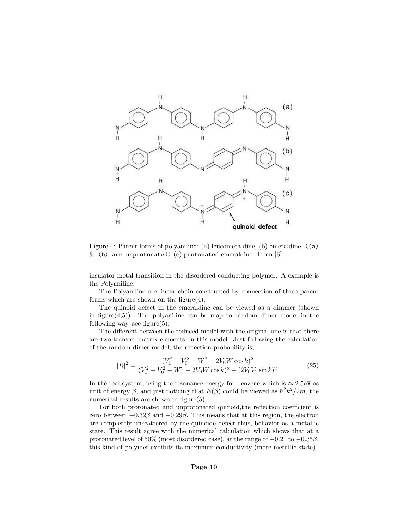

Figure 4: Parent forms of polyaniline: (a) leucomeraldine, (b) emeraldine ,((a)  $\&$  (b) are unprotonated) (c) protonated emeraldine. From [6]

insulator-metal transition in the disordered conducting polymer. A example is the Polyaniline.

The Polyaniline are linear chain constructed by connection of three parent forms which are shown on the figure $(4)$ ,

The quinoid defect in the emeraldine can be viewed as a dimmer (shown in figure $(4,5)$ ). The polyaniline can be map to random dimer model in the following way, see figure $(5)$ ,

The different between the reduced model with the original one is that there are two transfer matrix elements on this model. Just following the calculation of the random dimer model, the reflection probability is,

$$
|R|^2 = \frac{(V_1^2 - V_0^2 - W^2 - 2V_0W\cos k)^2}{(V_1^2 - V_0^2 - W^2 - 2V_0W\cos k)^2 + (2V_0V_1\sin k)^2}
$$
(25)

In the real system, using the resonance energy for benzene which is  $\approx 2.5$ eV as unit of energy  $\beta$ , and just noticing that  $E(\beta)$  could be viewed as  $\hbar^2 k^2/2m$ , the numerical results are shown in figure(5),

For both protonated and unprotonated quinoid,the reflection coefficient is zero between  $-0.32\beta$  and  $-0.29\beta$ . This means that at this region, the electron are completely unscattered by the quinoide defect thus, behavior as a metallic state. This result agree with the numerical calculation which shows that at a protonated level of 50% (most disordered case), at the range of  $-0.21$  to  $-0.35\beta$ , this kind of polymer exhibits its maximum conductivity (more metallic state).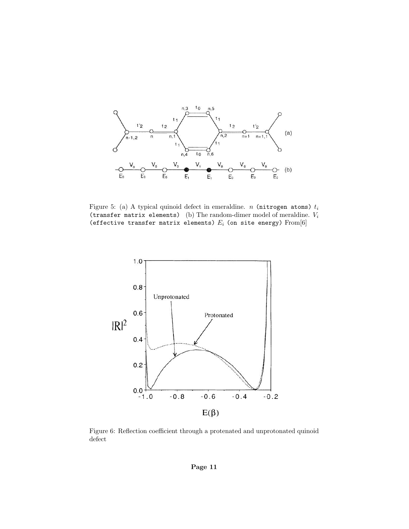

Figure 5: (a) A typical quinoid defect in emeraldine. *n* (nitrogen atoms)  $t_i$ (transfer matrix elements) (b) The random-dimer model of meraldine.  $V_i$ (effective transfer matrix elements)  $E_i$  (on site energy)  $From [6]$ 



Figure 6: Reflection coefficient through a protenated and unprotonated quinoid defect